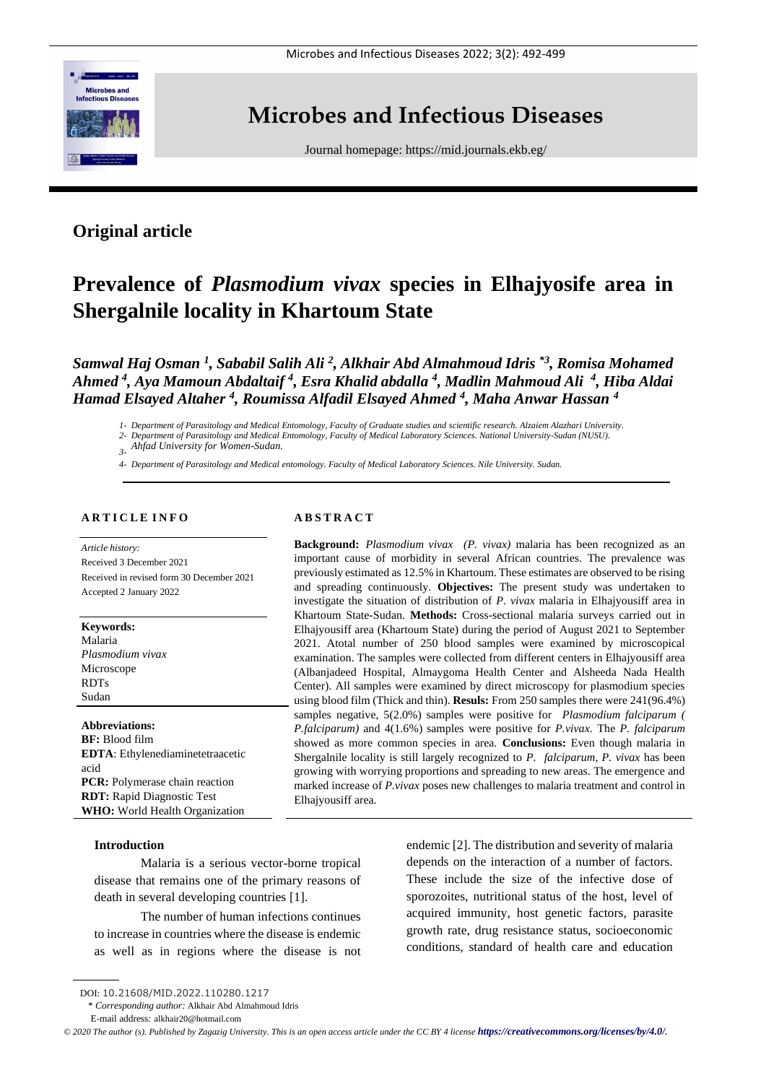

# **Microbes and Infectious Diseases**

Journal homepage:<https://mid.journals.ekb.eg/>

# **Original article**

# **Prevalence of** *Plasmodium vivax* **species in Elhajyosife area in Shergalnile locality in Khartoum State**

*Samwal Haj Osman <sup>1</sup> , Sababil Salih Ali <sup>2</sup> , Alkhair Abd Almahmoud Idris \*3 , Romisa Mohamed Ahmed <sup>4</sup> , Aya Mamoun Abdaltaif <sup>4</sup> , Esra Khalid abdalla <sup>4</sup> , Madlin Mahmoud Ali <sup>4</sup> , Hiba Aldai Hamad Elsayed Altaher <sup>4</sup> , Roumissa Alfadil Elsayed Ahmed <sup>4</sup> , Maha Anwar Hassan <sup>4</sup>*

*1- Department of Parasitology and Medical Entomology, Faculty of Graduate studies and scientific research. Alzaiem Alazhari University.*

*2- Department of Parasitology and Medical Entomology, Faculty of Medical Laboratory Sciences. National University-Sudan (NUSU).*

*3- Ahfad University for Women-Sudan.*

*4- Department of Parasitology and Medical entomology. Faculty of Medical Laboratory Sciences. Nile University. Sudan.*

# **A R T I C L E I N F O**

*Article history:*  Received 3 December 2021 Received in revised form 30 December 2021 Accepted 2 January 2022

**Keywords:** Malaria

*Plasmodium vivax* Microscope RDTs Sudan

# **Abbreviations:**

**BF:** Blood film **EDTA**: Ethylenediaminetetraacetic acid **PCR:** Polymerase chain reaction **RDT:** Rapid Diagnostic Test **WHO:** World Health Organization

# **Introduction**

Malaria is a serious vector-borne tropical disease that remains one of the primary reasons of death in several developing countries [\[1\]](file:///E:/Shahenda/Microbes%20and%20infectious%20disease/December%202021/still%20MID-2112-1217%20(R1)/Edited%20Manuscript.doc%23_ENREF_1).

The number of human infections continues to increase in countries where the disease is endemic as well as in regions where the disease is not endemic [2]. The distribution and severity of malaria depends on the interaction of a number of factors. These include the size of the infective dose of sporozoites, nutritional status of the host, level of acquired immunity, host genetic factors, parasite growth rate, drug resistance status, socioeconomic conditions, standard of health care and education

# **A B S T R A C T**

**Background:** *Plasmodium vivax (P. vivax)* malaria has been recognized as an important cause of morbidity in several African countries. The prevalence was previously estimated as 12.5% in Khartoum. These estimates are observed to be rising and spreading continuously. **Objectives:** The present study was undertaken to investigate the situation of distribution of *P. vivax* malaria in Elhajyousiff area in Khartoum State-Sudan. **Methods:** Cross-sectional malaria surveys carried out in Elhajyousiff area (Khartoum State) during the period of August 2021 to September 2021. Atotal number of 250 blood samples were examined by microscopical examination. The samples were collected from different centers in Elhajyousiff area (Albanjadeed Hospital, Almaygoma Health Center and Alsheeda Nada Health Center). All samples were examined by direct microscopy for plasmodium species using blood film (Thick and thin). **Resuls:** From 250 samples there were 241(96.4%) samples negative, 5(2.0%) samples were positive for *Plasmodium falciparum ( P.falciparum)* and 4(1.6%) samples were positive for *P.vivax*. The *P. falciparum* showed as more common species in area. **Conclusions:** Even though malaria in Shergalnile locality is still largely recognized to *P. falciparum*, *P. vivax* has been growing with worrying proportions and spreading to new areas. The emergence and marked increase of *P.vivax* poses new challenges to malaria treatment and control in Elhajyousiff area.

DOI: 10.21608/MID.2022.110280.1217

<sup>\*</sup> *Corresponding author:* Alkhair Abd Almahmoud Idris

E-mail address: alkhair20@hotmail.com

*<sup>©</sup> 2020 The author (s). Published by Zagazig University. This is an open access article under the CC BY 4 license <https://creativecommons.org/licenses/by/4.0/>.*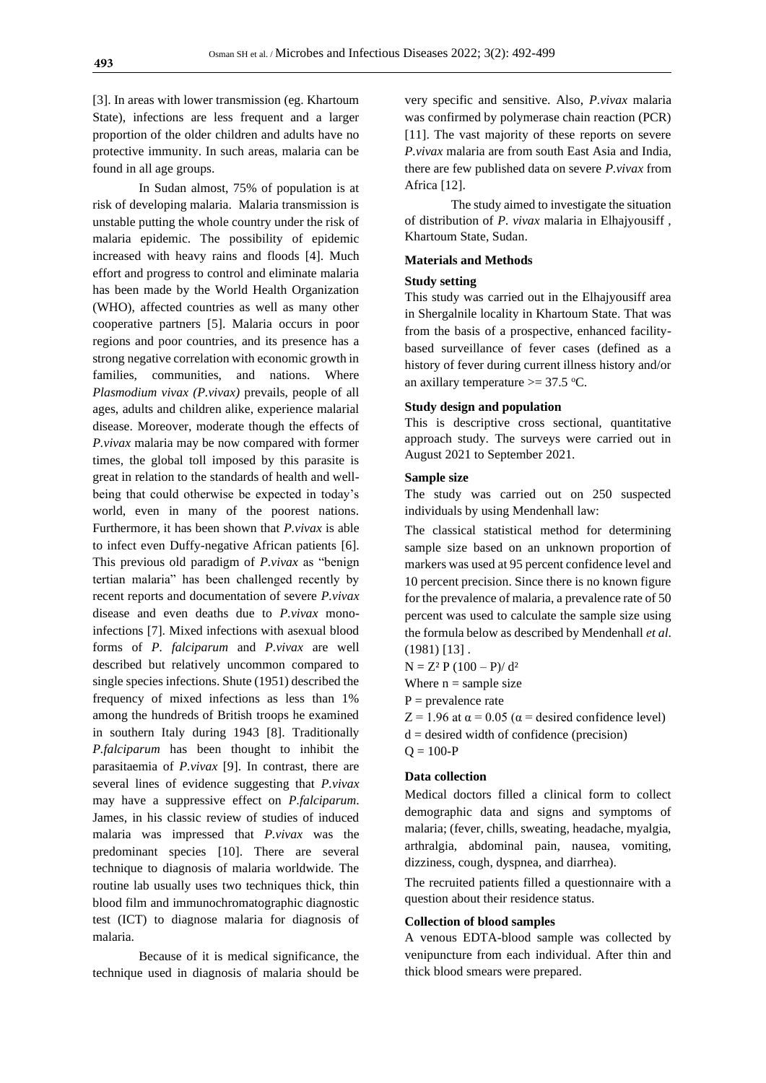[3]. In areas with lower transmission (eg. Khartoum State), infections are less frequent and a larger proportion of the older children and adults have no protective immunity. In such areas, malaria can be found in all age groups.

In Sudan almost, 75% of population is at risk of developing malaria. Malaria transmission is unstable putting the whole country under the risk of malaria epidemic. The possibility of epidemic increased with heavy rains and floods [\[4\]](file:///E:/Shahenda/Microbes%20and%20infectious%20disease/December%202021/still%20MID-2112-1217%20(R1)/Edited%20Manuscript.doc%23_ENREF_2). Much effort and progress to control and eliminate malaria has been made by the World Health Organization (WHO), affected countries as well as many other cooperative partners [5]. Malaria occurs in poor regions and poor countries, and its presence has a strong negative correlation with economic growth in families, communities, and nations. Where *Plasmodium vivax (P.vivax)* prevails, people of all ages, adults and children alike, experience malarial disease. Moreover, moderate though the effects of *P.vivax* malaria may be now compared with former times, the global toll imposed by this parasite is great in relation to the standards of health and wellbeing that could otherwise be expected in today's world, even in many of the poorest nations. Furthermore, it has been shown that *P.vivax* is able to infect even Duffy-negative African patients [6]. This previous old paradigm of *P.vivax* as "benign tertian malaria" has been challenged recently by recent reports and documentation of severe *P.vivax* disease and even deaths due to *P.vivax* monoinfections [\[7\]](file:///E:/Shahenda/Microbes%20and%20infectious%20disease/December%202021/still%20MID-2112-1217%20(R1)/Edited%20Manuscript.doc%23_ENREF_5). Mixed infections with asexual blood forms of *P. falciparum* and *P.vivax* are well described but relatively uncommon compared to single species infections. Shute (1951) described the frequency of mixed infections as less than 1% among the hundreds of British troops he examined in southern Italy during 1943 [8]. Traditionally *P.falciparum* has been thought to inhibit the parasitaemia of *P.vivax* [9]. In contrast, there are several lines of evidence suggesting that *P.vivax* may have a suppressive effect on *P.falciparum*. James, in his classic review of studies of induced malaria was impressed that *P.vivax* was the predominant species [\[10\]](file:///E:/Shahenda/Microbes%20and%20infectious%20disease/December%202021/still%20MID-2112-1217%20(R1)/Edited%20Manuscript.doc%23_ENREF_8). There are several technique to diagnosis of malaria worldwide. The routine lab usually uses two techniques thick, thin blood film and immunochromatographic diagnostic test (ICT) to diagnose malaria for diagnosis of malaria.

Because of it is medical significance, the technique used in diagnosis of malaria should be

very specific and sensitive. Also, *P.vivax* malaria was confirmed by polymerase chain reaction (PCR) [\[11\]](file:///E:/Shahenda/Microbes%20and%20infectious%20disease/December%202021/still%20MID-2112-1217%20(R1)/Edited%20Manuscript.doc%23_ENREF_9). The vast majority of these reports on severe *P.vivax* malaria are from south East Asia and India, there are few published data on severe *P.vivax* from Africa [12].

The study aimed to investigate the situation of distribution of *P. vivax* malaria in Elhajyousiff , Khartoum State, Sudan.

# **Materials and Methods**

#### **Study setting**

This study was carried out in the Elhajyousiff area in Shergalnile locality in Khartoum State. That was from the basis of a prospective, enhanced facilitybased surveillance of fever cases (defined as a history of fever during current illness history and/or an axillary temperature  $\ge$  = 37.5 °C.

### **Study design and population**

This is descriptive cross sectional, quantitative approach study. The surveys were carried out in August 2021 to September 2021.

# **Sample size**

The study was carried out on 250 suspected individuals by using Mendenhall law:

The classical statistical method for determining sample size based on an unknown proportion of markers was used at 95 percent confidence level and 10 percent precision. Since there is no known figure for the prevalence of malaria, a prevalence rate of 50 percent was used to calculate the sample size using the formula below as described by Mendenhall *et al*. (1981) [13] .

 $N = Z<sup>2</sup> P (100 - P)/ d<sup>2</sup>$ 

Where  $n =$  sample size

 $P =$  prevalence rate

 $Z = 1.96$  at  $\alpha = 0.05$  ( $\alpha$  = desired confidence level)

- $d =$  desired width of confidence (precision)
- $Q = 100-P$

# **Data collection**

Medical doctors filled a clinical form to collect demographic data and signs and symptoms of malaria; (fever, chills, sweating, headache, myalgia, arthralgia, abdominal pain, nausea, vomiting, dizziness, cough, dyspnea, and diarrhea).

The recruited patients filled a questionnaire with a question about their residence status.

# **Collection of blood samples**

A venous EDTA-blood sample was collected by venipuncture from each individual. After thin and thick blood smears were prepared.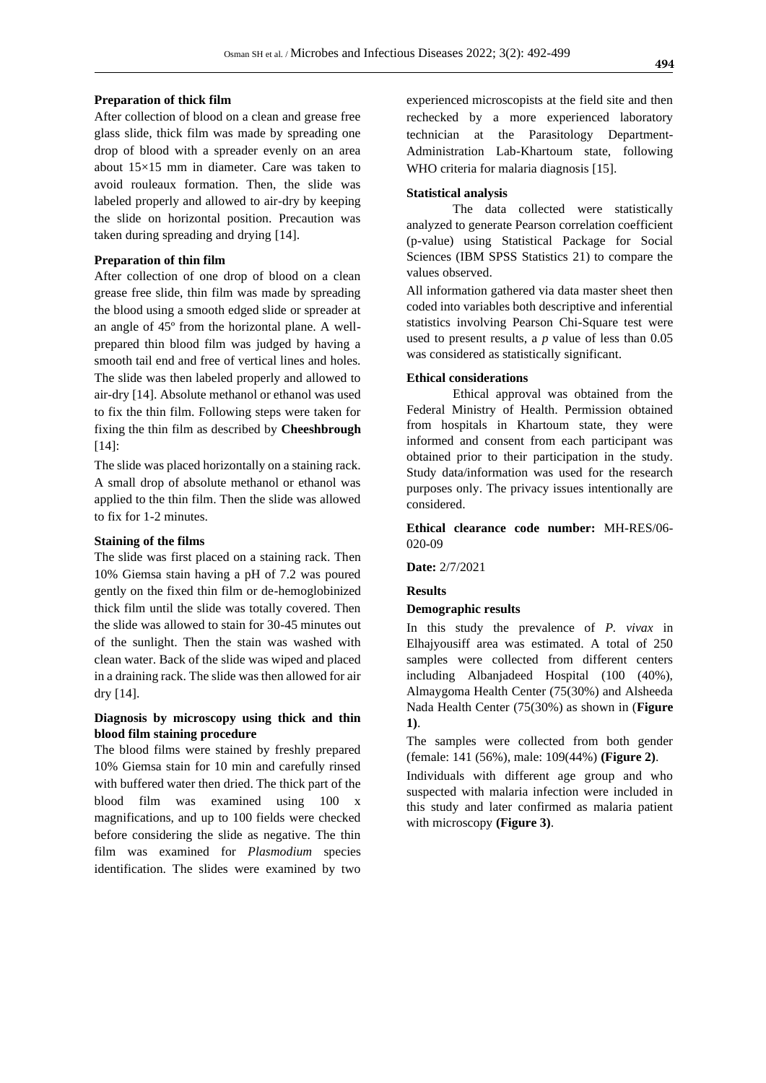## **Preparation of thick film**

After collection of blood on a clean and grease free glass slide, thick film was made by spreading one drop of blood with a spreader evenly on an area about 15×15 mm in diameter. Care was taken to avoid rouleaux formation. Then, the slide was labeled properly and allowed to air-dry by keeping the slide on horizontal position. Precaution was taken during spreading and drying [14].

# **Preparation of thin film**

After collection of one drop of blood on a clean grease free slide, thin film was made by spreading the blood using a smooth edged slide or spreader at an angle of 45º from the horizontal plane. A wellprepared thin blood film was judged by having a smooth tail end and free of vertical lines and holes. The slide was then labeled properly and allowed to air-dry [14]. Absolute methanol or ethanol was used to fix the thin film. Following steps were taken for fixing the thin film as described by **Cheeshbrough** [14]:

The slide was placed horizontally on a staining rack. A small drop of absolute methanol or ethanol was applied to the thin film. Then the slide was allowed to fix for 1-2 minutes.

# **Staining of the films**

The slide was first placed on a staining rack. Then 10% Giemsa stain having a pH of 7.2 was poured gently on the fixed thin film or de-hemoglobinized thick film until the slide was totally covered. Then the slide was allowed to stain for 30-45 minutes out of the sunlight. Then the stain was washed with clean water. Back of the slide was wiped and placed in a draining rack. The slide was then allowed for air dry [14].

# **Diagnosis by microscopy using thick and thin blood film staining procedure**

The blood films were stained by freshly prepared 10% Giemsa stain for 10 min and carefully rinsed with buffered water then dried. The thick part of the blood film was examined using 100 x magnifications, and up to 100 fields were checked before considering the slide as negative. The thin film was examined for *Plasmodium* species identification. The slides were examined by two experienced microscopists at the field site and then rechecked by a more experienced laboratory technician at the Parasitology Department-Administration Lab-Khartoum state, following WHO criteria for malaria diagnosis [15].

#### **Statistical analysis**

The data collected were statistically analyzed to generate Pearson correlation coefficient (p-value) using Statistical Package for Social Sciences (IBM SPSS Statistics 21) to compare the values observed.

All information gathered via data master sheet then coded into variables both descriptive and inferential statistics involving Pearson Chi-Square test were used to present results, a *p* value of less than 0.05 was considered as statistically significant.

## **Ethical considerations**

Ethical approval was obtained from the Federal Ministry of Health. Permission obtained from hospitals in Khartoum state, they were informed and consent from each participant was obtained prior to their participation in the study. Study data/information was used for the research purposes only. The privacy issues intentionally are considered.

**Ethical clearance code number:** MH-RES/06- 020-09

**Date:** 2/7/2021

#### **Results**

#### **Demographic results**

In this study the prevalence of *P. vivax* in Elhajyousiff area was estimated. A total of 250 samples were collected from different centers including Albanjadeed Hospital (100 (40%), Almaygoma Health Center (75(30%) and Alsheeda Nada Health Center (75(30%) as shown in (**Figure 1)**.

The samples were collected from both gender (female: 141 (56%), male: 109(44%) **(Figure 2)**.

Individuals with different age group and who suspected with malaria infection were included in this study and later confirmed as malaria patient with microscopy **(Figure 3)**.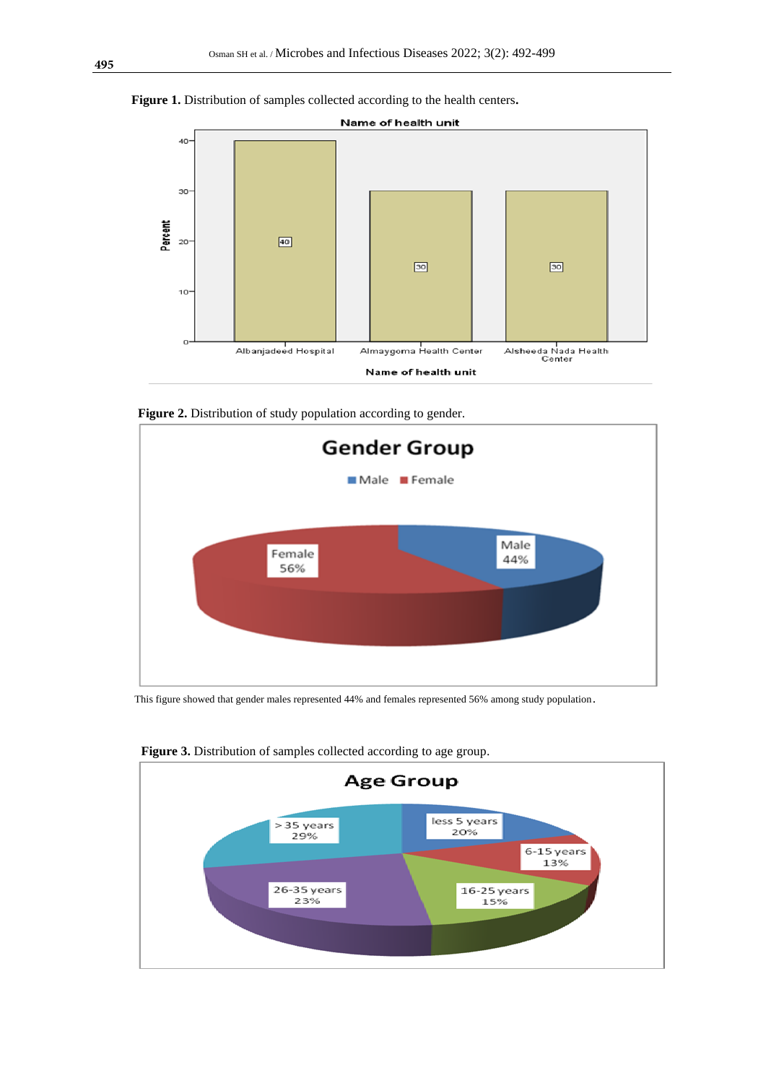



Figure 2. Distribution of study population according to gender.



This figure showed that gender males represented 44% and females represented 56% among study population.



**Figure 3.** Distribution of samples collected according to age group.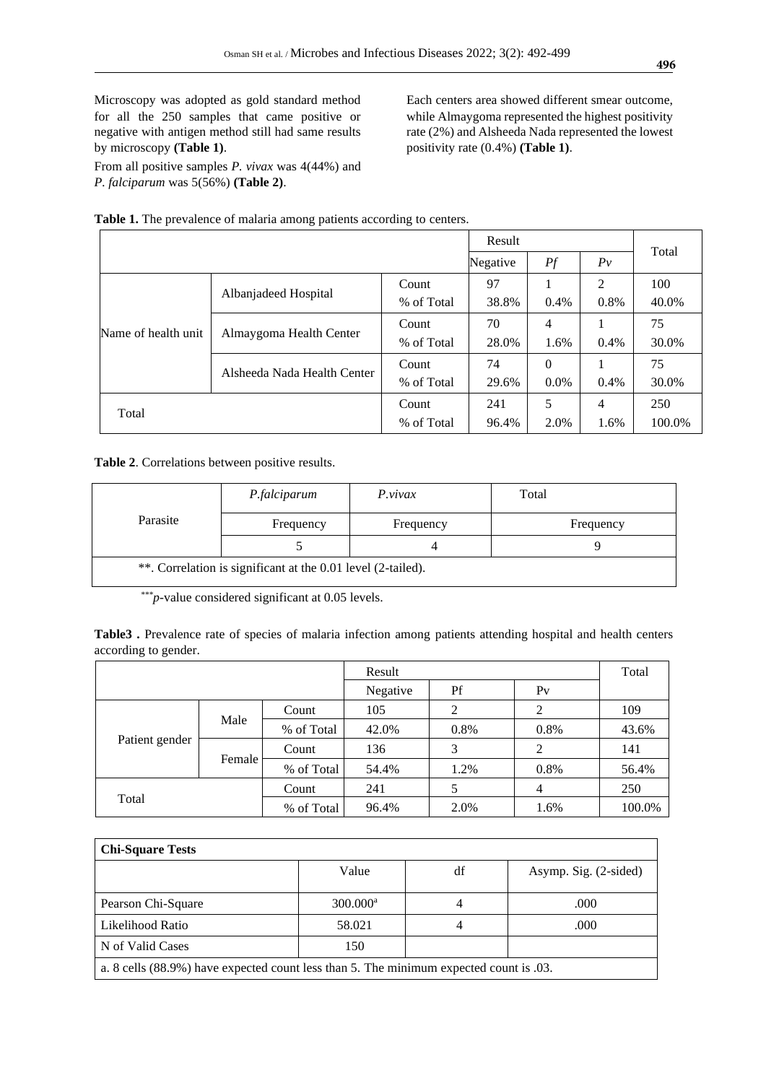Microscopy was adopted as gold standard method for all the 250 samples that came positive or negative with antigen method still had same results by microscopy **(Table 1)**.

From all positive samples *P. vivax* was 4(44%) and *P. falciparum* was 5(56%) **(Table 2)**.

Each centers area showed different smear outcome, while Almaygoma represented the highest positivity rate (2%) and Alsheeda Nada represented the lowest positivity rate (0.4%) **(Table 1)**.

|                     |                             |            | Result   |          |       |        |
|---------------------|-----------------------------|------------|----------|----------|-------|--------|
|                     |                             |            | Negative | Pf       | $P_v$ | Total  |
| Name of health unit | Albanjadeed Hospital        | Count      | 97       |          | 2     | 100    |
|                     |                             | % of Total | 38.8%    | 0.4%     | 0.8%  | 40.0%  |
|                     | Almaygoma Health Center     | Count      | 70       | 4        |       | 75     |
|                     |                             | % of Total | 28.0%    | 1.6%     | 0.4%  | 30.0%  |
|                     | Alsheeda Nada Health Center | Count      | 74       | $\Omega$ |       | 75     |
|                     |                             | % of Total | 29.6%    | $0.0\%$  | 0.4%  | 30.0%  |
|                     |                             | Count      | 241      | 5        | 4     | 250    |
| Total               |                             | % of Total | 96.4%    | 2.0%     | 1.6%  | 100.0% |

**Table 1.** The prevalence of malaria among patients according to centers.

**Table 2**. Correlations between positive results.

| Parasite                                                     | P.falciparum | P.vivax   | Total     |  |  |  |
|--------------------------------------------------------------|--------------|-----------|-----------|--|--|--|
|                                                              | Frequency    | Frequency | Frequency |  |  |  |
|                                                              |              |           |           |  |  |  |
| **. Correlation is significant at the 0.01 level (2-tailed). |              |           |           |  |  |  |

*\*\*\*p*-value considered significant at 0.05 levels.

**Table3 .** Prevalence rate of species of malaria infection among patients attending hospital and health centers according to gender.

|                |        |            | Result   |      |                | Total  |
|----------------|--------|------------|----------|------|----------------|--------|
|                |        |            | Negative | Pf   | P <sub>V</sub> |        |
| Patient gender | Male   | Count      | 105      |      |                | 109    |
|                |        | % of Total | 42.0%    | 0.8% | 0.8%           | 43.6%  |
|                | Female | Count      | 136      | 3    | 2              | 141    |
|                |        | % of Total | 54.4%    | 1.2% | 0.8%           | 56.4%  |
|                |        | Count      | 241      |      | 4              | 250    |
| Total          |        | % of Total | 96.4%    | 2.0% | 1.6%           | 100.0% |

| <b>Chi-Square Tests</b>                                                                 |                        |    |                       |  |  |  |
|-----------------------------------------------------------------------------------------|------------------------|----|-----------------------|--|--|--|
|                                                                                         | Value                  | df | Asymp. Sig. (2-sided) |  |  |  |
| Pearson Chi-Square                                                                      | $300.000$ <sup>a</sup> |    | .000                  |  |  |  |
| Likelihood Ratio                                                                        | 58.021                 |    | .000                  |  |  |  |
| N of Valid Cases                                                                        | 150                    |    |                       |  |  |  |
| a. 8 cells (88.9%) have expected count less than 5. The minimum expected count is 0.03. |                        |    |                       |  |  |  |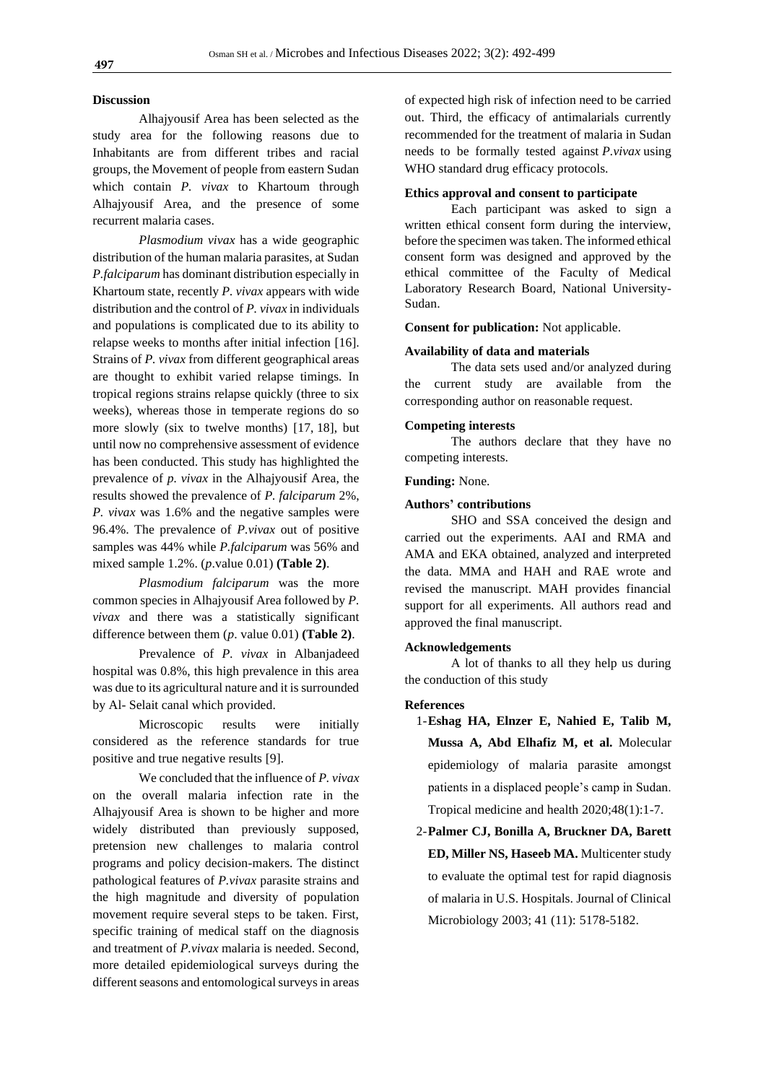#### **Discussion**

Alhajyousif Area has been selected as the study area for the following reasons due to Inhabitants are from different tribes and racial groups, the Movement of people from eastern Sudan which contain *P. vivax* to Khartoum through Alhajyousif Area, and the presence of some recurrent malaria cases.

*Plasmodium vivax* has a wide geographic distribution of the human malaria parasites, at Sudan *P.falciparum* has dominant distribution especially in Khartoum state, recently *P. vivax* appears with wide distribution and the control of *P. vivax* in individuals and populations is complicated due to its ability to relapse weeks to months after initial infection [16]. Strains of *P. vivax* from different geographical areas are thought to exhibit varied relapse timings. In tropical regions strains relapse quickly (three to six weeks), whereas those in temperate regions do so more slowly (six to twelve months) [17, 18], but until now no comprehensive assessment of evidence has been conducted. This study has highlighted the prevalence of *p. vivax* in the Alhajyousif Area, the results showed the prevalence of *P. falciparum* 2%, *P. vivax* was 1.6% and the negative samples were 96.4%. The prevalence of *P.vivax* out of positive samples was 44% while *P.falciparum* was 56% and mixed sample 1.2%. (*p*.value 0.01) **(Table 2)**.

*Plasmodium falciparum* was the more common species in Alhajyousif Area followed by *P. vivax* and there was a statistically significant difference between them (*p*. value 0.01) **(Table 2)**.

Prevalence of *P. vivax* in Albanjadeed hospital was 0.8%, this high prevalence in this area was due to its agricultural nature and it is surrounded by Al- Selait canal which provided.

Microscopic results were initially considered as the reference standards for true positive and true negative results [9].

We concluded that the influence of *P. vivax* on the overall malaria infection rate in the Alhajyousif Area is shown to be higher and more widely distributed than previously supposed, pretension new challenges to malaria control programs and policy decision-makers. The distinct pathological features of *P.vivax* parasite strains and the high magnitude and diversity of population movement require several steps to be taken. First, specific training of medical staff on the diagnosis and treatment of *P.vivax* malaria is needed. Second, more detailed epidemiological surveys during the different seasons and entomological surveys in areas

of expected high risk of infection need to be carried out. Third, the efficacy of antimalarials currently recommended for the treatment of malaria in Sudan needs to be formally tested against *P.vivax* using WHO standard drug efficacy protocols.

#### **Ethics approval and consent to participate**

Each participant was asked to sign a written ethical consent form during the interview, before the specimen was taken. The informed ethical consent form was designed and approved by the ethical committee of the Faculty of Medical Laboratory Research Board, National University-Sudan.

**Consent for publication:** Not applicable.

#### **Availability of data and materials**

The data sets used and/or analyzed during the current study are available from the corresponding author on reasonable request.

#### **Competing interests**

The authors declare that they have no competing interests.

#### **Funding:** None.

#### **Authors' contributions**

SHO and SSA conceived the design and carried out the experiments. AAI and RMA and AMA and EKA obtained, analyzed and interpreted the data. MMA and HAH and RAE wrote and revised the manuscript. MAH provides financial support for all experiments. All authors read and approved the final manuscript.

#### **Acknowledgements**

A lot of thanks to all they help us during the conduction of this study

#### **References**

- 1-**Eshag HA, Elnzer E, Nahied E, Talib M, Mussa A, Abd Elhafiz M, et al.** Molecular epidemiology of malaria parasite amongst patients in a displaced people's camp in Sudan. Tropical medicine and health 2020;48(1):1-7.
- 2-**Palmer CJ, Bonilla A, Bruckner DA, Barett ED, Miller NS, Haseeb MA.** Multicenter study to evaluate the optimal test for rapid diagnosis of malaria in U.S. Hospitals. Journal of Clinical Microbiology 2003; 41 (11): 5178-5182.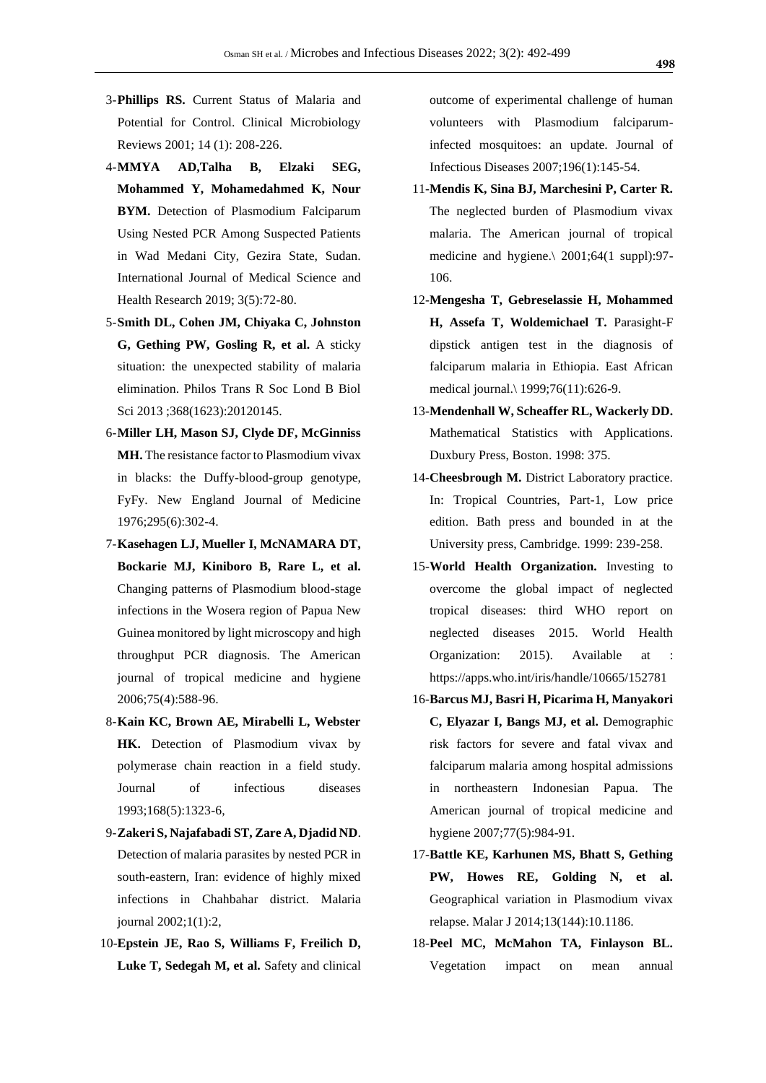- 3-**Phillips RS.** Current Status of Malaria and Potential for Control. Clinical Microbiology Reviews 2001; 14 (1): 208-226.
- 4-**MMYA AD,Talha B, Elzaki SEG, Mohammed Y, Mohamedahmed K, Nour BYM.** Detection of Plasmodium Falciparum Using Nested PCR Among Suspected Patients in Wad Medani City, Gezira State, Sudan. International Journal of Medical Science and Health Research 2019; 3(5):72-80.
- 5-**Smith DL, Cohen JM, Chiyaka C, Johnston G, Gething PW, Gosling R, et al.** A sticky situation: the unexpected stability of malaria elimination. Philos Trans R Soc Lond B Biol Sci 2013 ;368(1623):20120145.
- 6-**Miller LH, Mason SJ, Clyde DF, McGinniss MH.** The resistance factor to Plasmodium vivax in blacks: the Duffy-blood-group genotype, FyFy. New England Journal of Medicine 1976;295(6):302-4.
- 7-**Kasehagen LJ, Mueller I, McNAMARA DT, Bockarie MJ, Kiniboro B, Rare L, et al.** Changing patterns of Plasmodium blood-stage infections in the Wosera region of Papua New Guinea monitored by light microscopy and high throughput PCR diagnosis. The American journal of tropical medicine and hygiene 2006;75(4):588-96.
- 8-**Kain KC, Brown AE, Mirabelli L, Webster HK.** Detection of Plasmodium vivax by polymerase chain reaction in a field study. Journal of infectious diseases 1993;168(5):1323-6,
- 9-**Zakeri S, Najafabadi ST, Zare A, Djadid ND**. Detection of malaria parasites by nested PCR in south-eastern, Iran: evidence of highly mixed infections in Chahbahar district. Malaria journal 2002;1(1):2,
- 10-**Epstein JE, Rao S, Williams F, Freilich D, Luke T, Sedegah M, et al.** Safety and clinical

outcome of experimental challenge of human volunteers with Plasmodium falciparuminfected mosquitoes: an update. Journal of Infectious Diseases 2007;196(1):145-54.

- 11-**Mendis K, Sina BJ, Marchesini P, Carter R.** The neglected burden of Plasmodium vivax malaria. The American journal of tropical medicine and hygiene.\ 2001;64(1 suppl):97- 106.
- 12-**Mengesha T, Gebreselassie H, Mohammed H, Assefa T, Woldemichael T.** Parasight-F dipstick antigen test in the diagnosis of falciparum malaria in Ethiopia. East African medical journal.\ 1999;76(11):626-9.
- 13-**Mendenhall W, Scheaffer RL, Wackerly DD.** Mathematical Statistics with Applications. Duxbury Press, Boston. 1998: 375.
- 14-**Cheesbrough M.** District Laboratory practice. In: Tropical Countries, Part-1, Low price edition. Bath press and bounded in at the University press, Cambridge. 1999: 239-258.
- 15-**World Health Organization.** Investing to overcome the global impact of neglected tropical diseases: third WHO report on neglected diseases 2015. World Health Organization: 2015). Available at https://apps.who.int/iris/handle/10665/152781
- 16-**Barcus MJ, Basri H, Picarima H, Manyakori C, Elyazar I, Bangs MJ, et al.** Demographic risk factors for severe and fatal vivax and falciparum malaria among hospital admissions in northeastern Indonesian Papua. The American journal of tropical medicine and hygiene 2007;77(5):984-91.
- 17-**Battle KE, Karhunen MS, Bhatt S, Gething PW, Howes RE, Golding N, et al.** Geographical variation in Plasmodium vivax relapse. Malar J 2014;13(144):10.1186.
- 18-**Peel MC, McMahon TA, Finlayson BL.** Vegetation impact on mean annual